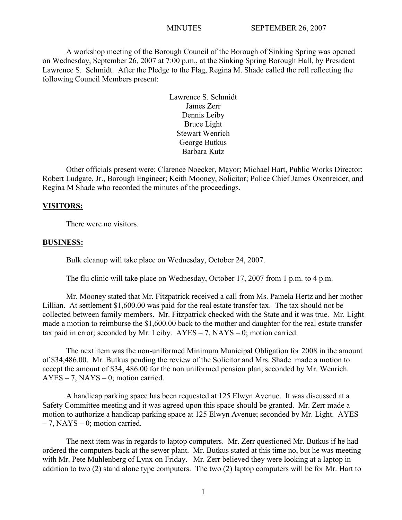A workshop meeting of the Borough Council of the Borough of Sinking Spring was opened on Wednesday, September 26, 2007 at 7:00 p.m., at the Sinking Spring Borough Hall, by President Lawrence S. Schmidt. After the Pledge to the Flag, Regina M. Shade called the roll reflecting the following Council Members present:

> Lawrence S. Schmidt James Zerr Dennis Leiby Bruce Light Stewart Wenrich George Butkus Barbara Kutz

Other officials present were: Clarence Noecker, Mayor; Michael Hart, Public Works Director; Robert Ludgate, Jr., Borough Engineer; Keith Mooney, Solicitor; Police Chief James Oxenreider, and Regina M Shade who recorded the minutes of the proceedings.

#### **VISITORS:**

There were no visitors.

#### **BUSINESS:**

Bulk cleanup will take place on Wednesday, October 24, 2007.

The flu clinic will take place on Wednesday, October 17, 2007 from 1 p.m. to 4 p.m.

Mr. Mooney stated that Mr. Fitzpatrick received a call from Ms. Pamela Hertz and her mother Lillian. At settlement \$1,600.00 was paid for the real estate transfer tax. The tax should not be collected between family members. Mr. Fitzpatrick checked with the State and it was true. Mr. Light made a motion to reimburse the \$1,600.00 back to the mother and daughter for the real estate transfer tax paid in error; seconded by Mr. Leiby.  $AYES - 7$ ,  $NAYS - 0$ ; motion carried.

The next item was the non-uniformed Minimum Municipal Obligation for 2008 in the amount of \$34,486.00. Mr. Butkus pending the review of the Solicitor and Mrs. Shade made a motion to accept the amount of \$34, 486.00 for the non uniformed pension plan; seconded by Mr. Wenrich.  $AYES - 7$ ,  $NAYS - 0$ ; motion carried.

A handicap parking space has been requested at 125 Elwyn Avenue. It was discussed at a Safety Committee meeting and it was agreed upon this space should be granted. Mr. Zerr made a motion to authorize a handicap parking space at 125 Elwyn Avenue; seconded by Mr. Light. AYES – 7, NAYS – 0; motion carried.

The next item was in regards to laptop computers. Mr. Zerr questioned Mr. Butkus if he had ordered the computers back at the sewer plant. Mr. Butkus stated at this time no, but he was meeting with Mr. Pete Muhlenberg of Lynx on Friday. Mr. Zerr believed they were looking at a laptop in addition to two (2) stand alone type computers. The two (2) laptop computers will be for Mr. Hart to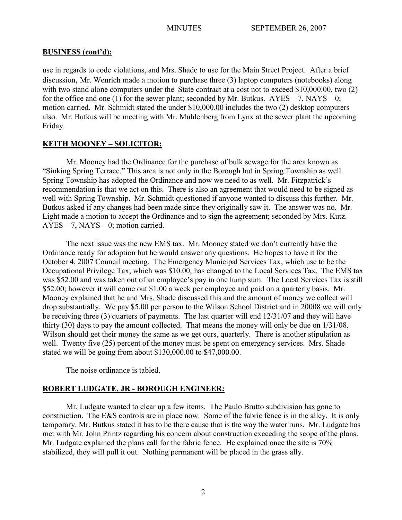#### **BUSINESS (cont'd):**

use in regards to code violations, and Mrs. Shade to use for the Main Street Project. After a brief discussion, Mr. Wenrich made a motion to purchase three (3) laptop computers (notebooks) along with two stand alone computers under the State contract at a cost not to exceed \$10,000.00, two (2) for the office and one (1) for the sewer plant; seconded by Mr. Butkus.  $AYES - 7$ ,  $NAYS - 0$ ; motion carried. Mr. Schmidt stated the under \$10,000.00 includes the two (2) desktop computers also. Mr. Butkus will be meeting with Mr. Muhlenberg from Lynx at the sewer plant the upcoming Friday.

# **KEITH MOONEY – SOLICITOR:**

Mr. Mooney had the Ordinance for the purchase of bulk sewage for the area known as "Sinking Spring Terrace." This area is not only in the Borough but in Spring Township as well. Spring Township has adopted the Ordinance and now we need to as well. Mr. Fitzpatrick's recommendation is that we act on this. There is also an agreement that would need to be signed as well with Spring Township. Mr. Schmidt questioned if anyone wanted to discuss this further. Mr. Butkus asked if any changes had been made since they originally saw it. The answer was no. Mr. Light made a motion to accept the Ordinance and to sign the agreement; seconded by Mrs. Kutz. AYES – 7, NAYS – 0; motion carried.

The next issue was the new EMS tax. Mr. Mooney stated we don't currently have the Ordinance ready for adoption but he would answer any questions. He hopes to have it for the October 4, 2007 Council meeting. The Emergency Municipal Services Tax, which use to be the Occupational Privilege Tax, which was \$10.00, has changed to the Local Services Tax. The EMS tax was \$52.00 and was taken out of an employee's pay in one lump sum. The Local Services Tax is still \$52.00; however it will come out \$1.00 a week per employee and paid on a quarterly basis. Mr. Mooney explained that he and Mrs. Shade discussed this and the amount of money we collect will drop substantially. We pay \$5.00 per person to the Wilson School District and in 20008 we will only be receiving three (3) quarters of payments. The last quarter will end 12/31/07 and they will have thirty (30) days to pay the amount collected. That means the money will only be due on 1/31/08. Wilson should get their money the same as we get ours, quarterly. There is another stipulation as well. Twenty five (25) percent of the money must be spent on emergency services. Mrs. Shade stated we will be going from about \$130,000.00 to \$47,000.00.

The noise ordinance is tabled.

# **ROBERT LUDGATE, JR - BOROUGH ENGINEER:**

Mr. Ludgate wanted to clear up a few items. The Paulo Brutto subdivision has gone to construction. The E&S controls are in place now. Some of the fabric fence is in the alley. It is only temporary. Mr. Butkus stated it has to be there cause that is the way the water runs. Mr. Ludgate has met with Mr. John Printz regarding his concern about construction exceeding the scope of the plans. Mr. Ludgate explained the plans call for the fabric fence. He explained once the site is 70% stabilized, they will pull it out. Nothing permanent will be placed in the grass ally.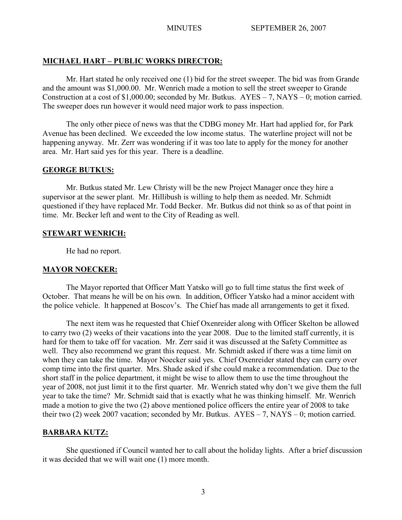# **MICHAEL HART – PUBLIC WORKS DIRECTOR:**

Mr. Hart stated he only received one (1) bid for the street sweeper. The bid was from Grande and the amount was \$1,000.00. Mr. Wenrich made a motion to sell the street sweeper to Grande Construction at a cost of \$1,000.00; seconded by Mr. Butkus. AYES – 7, NAYS – 0; motion carried. The sweeper does run however it would need major work to pass inspection.

The only other piece of news was that the CDBG money Mr. Hart had applied for, for Park Avenue has been declined. We exceeded the low income status. The waterline project will not be happening anyway. Mr. Zerr was wondering if it was too late to apply for the money for another area. Mr. Hart said yes for this year. There is a deadline.

# **GEORGE BUTKUS:**

Mr. Butkus stated Mr. Lew Christy will be the new Project Manager once they hire a supervisor at the sewer plant. Mr. Hillibush is willing to help them as needed. Mr. Schmidt questioned if they have replaced Mr. Todd Becker. Mr. Butkus did not think so as of that point in time. Mr. Becker left and went to the City of Reading as well.

#### **STEWART WENRICH:**

He had no report.

# **MAYOR NOECKER:**

The Mayor reported that Officer Matt Yatsko will go to full time status the first week of October. That means he will be on his own. In addition, Officer Yatsko had a minor accident with the police vehicle. It happened at Boscov's. The Chief has made all arrangements to get it fixed.

The next item was he requested that Chief Oxenreider along with Officer Skelton be allowed to carry two (2) weeks of their vacations into the year 2008. Due to the limited staff currently, it is hard for them to take off for vacation. Mr. Zerr said it was discussed at the Safety Committee as well. They also recommend we grant this request. Mr. Schmidt asked if there was a time limit on when they can take the time. Mayor Noecker said yes. Chief Oxenreider stated they can carry over comp time into the first quarter. Mrs. Shade asked if she could make a recommendation. Due to the short staff in the police department, it might be wise to allow them to use the time throughout the year of 2008, not just limit it to the first quarter. Mr. Wenrich stated why don't we give them the full year to take the time? Mr. Schmidt said that is exactly what he was thinking himself. Mr. Wenrich made a motion to give the two (2) above mentioned police officers the entire year of 2008 to take their two (2) week 2007 vacation; seconded by Mr. Butkus.  $AYES - 7$ ,  $NAYS - 0$ ; motion carried.

# **BARBARA KUTZ:**

She questioned if Council wanted her to call about the holiday lights. After a brief discussion it was decided that we will wait one (1) more month.